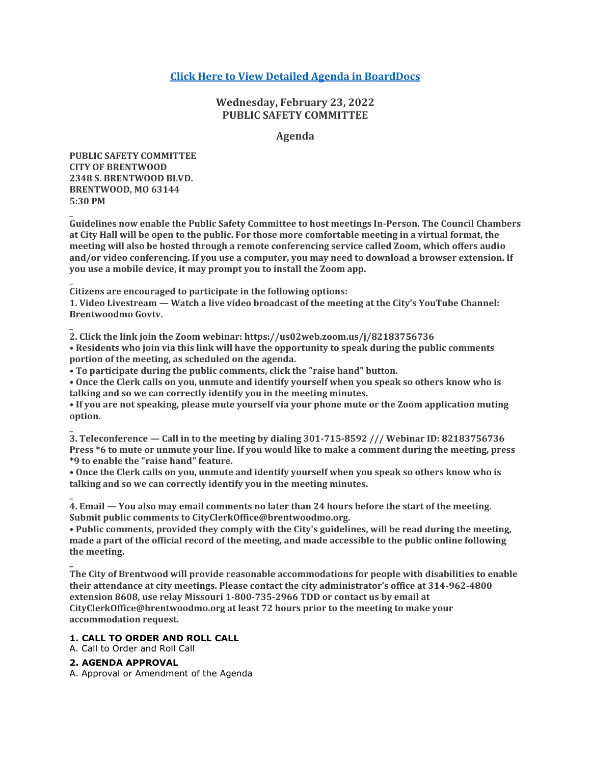# **[Click Here to View Detailed Agenda in BoardDocs](http://go.boarddocs.com/mo/cob/Board.nsf/goto?open&id=C9HS2X6F0572)**

# **Wednesday, February 23, 2022 PUBLIC SAFETY COMMITTEE**

### **Agenda**

**PUBLIC SAFETY COMMITTEE CITY OF BRENTWOOD 2348 S. BRENTWOOD BLVD. BRENTWOOD, MO 63144 5:30 PM**

**\_**

**\_**

**\_**

**Guidelines now enable the Public Safety Committee to host meetings In-Person. The Council Chambers at City Hall will be open to the public. For those more comfortable meeting in a virtual format, the meeting will also be hosted through a remote conferencing service called Zoom, which offers audio and/or video conferencing. If you use a computer, you may need to download a browser extension. If you use a mobile device, it may prompt you to install the Zoom app.**

**\_ Citizens are encouraged to participate in the following options:**

**1. Video Livestream — Watch a live video broadcast of the meeting at the City's YouTube Channel: Brentwoodmo Govtv.**

**2. Click the link join the Zoom webinar: https://us02web.zoom.us/j/82183756736 • Residents who join via this link will have the opportunity to speak during the public comments portion of the meeting, as scheduled on the agenda.**

**• To participate during the public comments, click the "raise hand" button.**

**• Once the Clerk calls on you, unmute and identify yourself when you speak so others know who is talking and so we can correctly identify you in the meeting minutes.**

**• If you are not speaking, please mute yourself via your phone mute or the Zoom application muting option.**

**\_ 3. Teleconference — Call in to the meeting by dialing 301-715-8592 /// Webinar ID: 82183756736 Press \*6 to mute or unmute your line. If you would like to make a comment during the meeting, press \*9 to enable the "raise hand" feature.**

**• Once the Clerk calls on you, unmute and identify yourself when you speak so others know who is talking and so we can correctly identify you in the meeting minutes.**

**\_ 4. Email — You also may email comments no later than 24 hours before the start of the meeting. Submit public comments to CityClerkOffice@brentwoodmo.org.**

**• Public comments, provided they comply with the City's guidelines, will be read during the meeting, made a part of the official record of the meeting, and made accessible to the public online following the meeting.**

**The City of Brentwood will provide reasonable accommodations for people with disabilities to enable their attendance at city meetings. Please contact the city administrator's office at 314-962-4800 extension 8608, use relay Missouri 1-800-735-2966 TDD or contact us by email at CityClerkOffice@brentwoodmo.org at least 72 hours prior to the meeting to make your accommodation request.**

#### **1. CALL TO ORDER AND ROLL CALL**

A. Call to Order and Roll Call

# **2. AGENDA APPROVAL**

A. Approval or Amendment of the Agenda